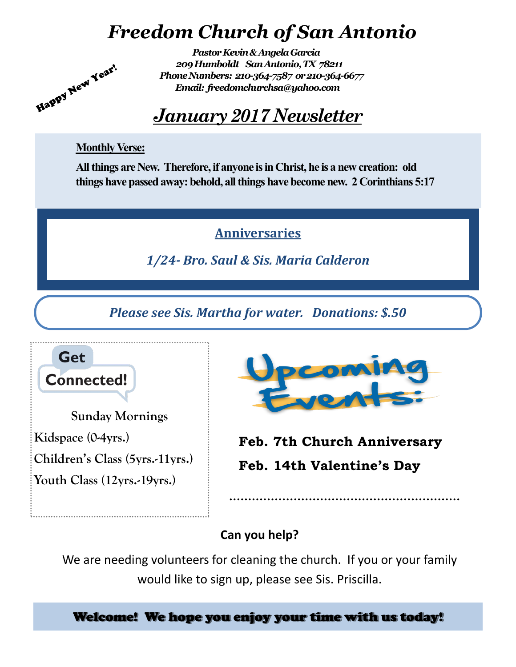## *Freedom Church of San Antonio*



## *January 2017 Newsletter*

#### **Monthly Verse:**

Happy New Year!

**All things are New. Therefore, if anyone is in Christ, he is a new creation: old things have passed away: behold, all things have become new. 2 Corinthians 5:17**

### **Anniversaries**

*1/24- Bro. Saul & Sis. Maria Calderon*

*Please see Sis. Martha for water. Donations: \$.50*



**Sunday Mornings Kidspace (0-4yrs.) Children's Class (5yrs.-11yrs.)**

**Youth Class (12yrs.-19yrs.)**



**Feb. 7th Church Anniversary Feb. 14th Valentine's Day**

#### **Can you help?**

We are needing volunteers for cleaning the church. If you or your family would like to sign up, please see Sis. Priscilla.

Welcome! We hope you enjoy your time with us today!